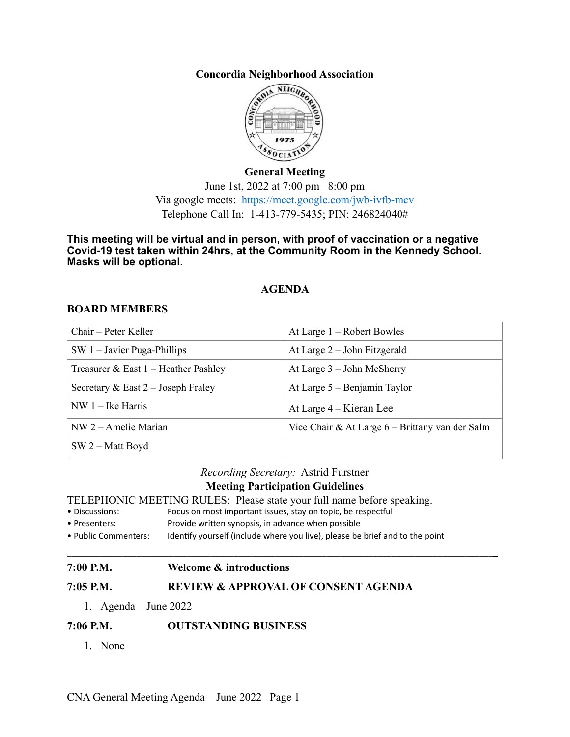**Concordia Neighborhood Association**



**General Meeting** June 1st, 2022 at 7:00 pm –8:00 pm Via google meets: <https://meet.google.com/jwb-ivfb-mcv> Telephone Call In: 1-413-779-5435; PIN: 246824040#

**This meeting will be virtual and in person, with proof of vaccination or a negative Covid-19 test taken within 24hrs, at the Community Room in the Kennedy School. Masks will be optional.**

# **AGENDA**

### **BOARD MEMBERS**

| Chair – Peter Keller                   | At Large 1 – Robert Bowles                      |
|----------------------------------------|-------------------------------------------------|
| $SW 1 - Javier Puga-Philips$           | At Large $2$ – John Fitzgerald                  |
| Treasurer & East $1$ – Heather Pashley | At Large $3 -$ John McSherry                    |
| Secretary & East $2$ – Joseph Fraley   | At Large $5 -$ Benjamin Taylor                  |
| $NW 1 - Ike Harris$                    | At Large 4 – Kieran Lee                         |
| $NW 2 - A$ melie Marian                | Vice Chair & At Large 6 – Brittany van der Salm |
| $SW 2 - Matt Boyd$                     |                                                 |

*Recording Secretary:* Astrid Furstner

# **Meeting Participation Guidelines**

\_\_\_\_\_\_\_\_\_\_\_\_\_\_\_\_\_\_\_\_\_\_\_\_\_\_\_\_\_\_\_\_\_\_\_\_\_\_\_\_\_\_\_\_\_\_\_\_\_\_\_\_\_\_\_\_\_\_\_\_\_\_\_\_\_\_\_\_\_\_\_\_\_\_\_\_\_\_\_\_\_\_\_\_\_\_\_\_\_\_\_\_**\_**

TELEPHONIC MEETING RULES: Please state your full name before speaking.<br>• Discussions: Focus on most important issues, stay on topic, be respectful

- Focus on most important issues, stay on topic, be respectful
- Presenters: Provide written synopsis, in advance when possible
- Public Commenters: Identify yourself (include where you live), please be brief and to the point

### **7:00 P.M. Welcome & introductions**

## **7:05 P.M. REVIEW & APPROVAL OF CONSENT AGENDA**

1. Agenda – June 2022

# **7:06 P.M. OUTSTANDING BUSINESS**

1. None